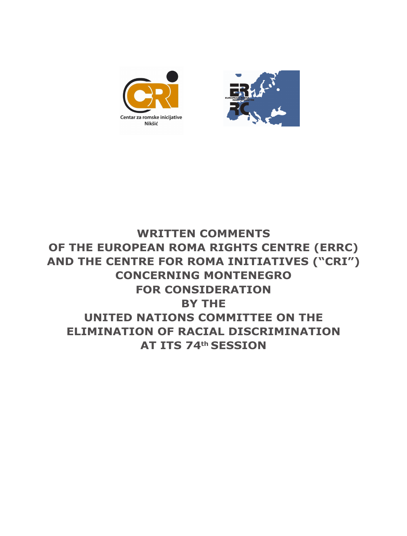



## **WRITTEN COMMENTS OF THE EUROPEAN ROMA RIGHTS CENTRE (ERRC) AND THE CENTRE FOR ROMA INITIATIVES ("CRI") CONCERNING MONTENEGRO FOR CONSIDERATION BY THE UNITED NATIONS COMMITTEE ON THE ELIMINATION OF RACIAL DISCRIMINATION AT ITS 74th SESSION**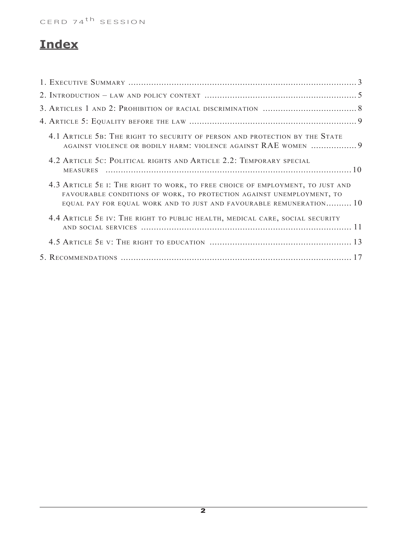# **Index**

| 4.1 ARTICLE 5B: THE RIGHT TO SECURITY OF PERSON AND PROTECTION BY THE STATE                                                                                                                                                      |  |
|----------------------------------------------------------------------------------------------------------------------------------------------------------------------------------------------------------------------------------|--|
| 4.2 ARTICLE 5C: POLITICAL RIGHTS AND ARTICLE 2.2: TEMPORARY SPECIAL                                                                                                                                                              |  |
| 4.3 ARTICLE 5E I: THE RIGHT TO WORK, TO FREE CHOICE OF EMPLOYMENT, TO JUST AND<br>FAVOURABLE CONDITIONS OF WORK, TO PROTECTION AGAINST UNEMPLOYMENT, TO<br>EQUAL PAY FOR EQUAL WORK AND TO JUST AND FAVOURABLE REMUNERATION $10$ |  |
| 4.4 ARTICLE 5E IV: THE RIGHT TO PUBLIC HEALTH, MEDICAL CARE, SOCIAL SECURITY                                                                                                                                                     |  |
|                                                                                                                                                                                                                                  |  |
|                                                                                                                                                                                                                                  |  |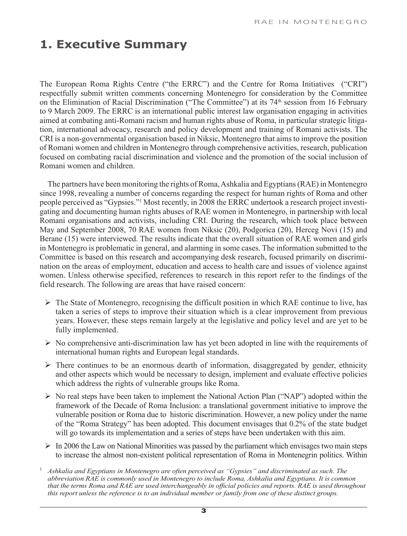# **1. Executive Summary**

The European Roma Rights Centre ("the ERRC") and the Centre for Roma Initiatives ("CRI") respectfully submit written comments concerning Montenegro for consideration by the Committee on the Elimination of Racial Discrimination ("The Committee") at its 74th session from 16 February to 9 March 2009. The ERRC is an international public interest law organisation engaging in activities aimed at combating anti-Romani racism and human rights abuse of Roma, in particular strategic litigation, international advocacy, research and policy development and training of Romani activists. The CRI is a non-governmental organisation based in Niksic, Montenegro that aims to improve the position of Romani women and children in Montenegro through comprehensive activities, research, publication focused on combating racial discrimination and violence and the promotion of the social inclusion of Romani women and children.

The partners have been monitoring the rights of Roma, Ashkalia and Egyptians (RAE) in Montenegro since 1998, revealing a number of concerns regarding the respect for human rights of Roma and other people perceived as "Gypsies."1 Most recently, in 2008 the ERRC undertook a research project investigating and documenting human rights abuses of RAE women in Montenegro, in partnership with local Romani organisations and activists, including CRI. During the research, which took place between May and September 2008, 70 RAE women from Niksic (20), Podgorica (20), Herceg Novi (15) and Berane (15) were interviewed. The results indicate that the overall situation of RAE women and girls in Montenegro is problematic in general, and alarming in some cases. The information submitted to the Committee is based on this research and accompanying desk research, focused primarily on discrimination on the areas of employment, education and access to health care and issues of violence against women. Unless otherwise specified, references to research in this report refer to the findings of the field research. The following are areas that have raised concern:

- $\triangleright$  The State of Montenegro, recognising the difficult position in which RAE continue to live, has taken a series of steps to improve their situation which is a clear improvement from previous years. However, these steps remain largely at the legislative and policy level and are yet to be fully implemented.
- $\triangleright$  No comprehensive anti-discrimination law has yet been adopted in line with the requirements of international human rights and European legal standards.
- $\triangleright$  There continues to be an enormous dearth of information, disaggregated by gender, ethnicity and other aspects which would be necessary to design, implement and evaluate effective policies which address the rights of vulnerable groups like Roma.
- $\triangleright$  No real steps have been taken to implement the National Action Plan ("NAP") adopted within the framework of the Decade of Roma Inclusion: a translational government initiative to improve the vulnerable position or Roma due to historic discrimination. However, a new policy under the name of the "Roma Strategy" has been adopted. This document envisages that 0.2% of the state budget will go towards its implementation and a series of steps have been undertaken with this aim.
- $\triangleright$  In 2006 the Law on National Minorities was passed by the parliament which envisages two main steps to increase the almost non-existent political representation of Roma in Montenegrin politics. Within
- <sup>1</sup> Ashkalia and Egyptians in Montenegro are often perceived as "Gypsies" and discriminated as such. The *abbreviation RAE is commonly used in Montenegro to include Roma, Ashkalia and Egyptians. It is common that the terms Roma and RAE are used interchangeably in official policies and reports. RAE is used throughout this report unless the reference is to an individual member or family from one of these distinct groups.*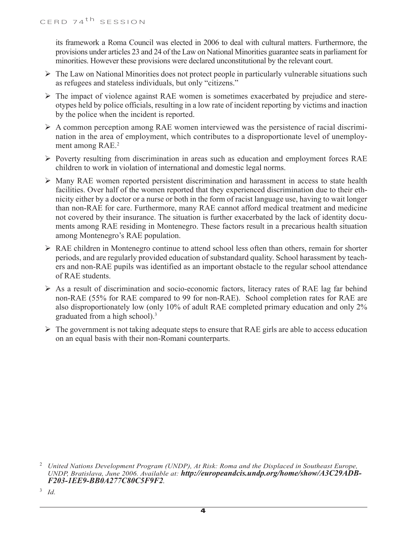its framework a Roma Council was elected in 2006 to deal with cultural matters. Furthermore, the provisions under articles 23 and 24 of the Law on National Minorities guarantee seats in parliament for minorities. However these provisions were declared unconstitutional by the relevant court.

- $\triangleright$  The Law on National Minorities does not protect people in particularly vulnerable situations such as refugees and stateless individuals, but only "citizens."
- $\triangleright$  The impact of violence against RAE women is sometimes exacerbated by prejudice and stereotypes held by police officials, resulting in a low rate of incident reporting by victims and inaction by the police when the incident is reported.
- $\triangleright$  A common perception among RAE women interviewed was the persistence of racial discrimination in the area of employment, which contributes to a disproportionate level of unemployment among RAE.<sup>2</sup>
- $\triangleright$  Poverty resulting from discrimination in areas such as education and employment forces RAE children to work in violation of international and domestic legal norms.
- $\triangleright$  Many RAE women reported persistent discrimination and harassment in access to state health facilities. Over half of the women reported that they experienced discrimination due to their ethnicity either by a doctor or a nurse or both in the form of racist language use, having to wait longer than non-RAE for care. Furthermore, many RAE cannot afford medical treatment and medicine not covered by their insurance. The situation is further exacerbated by the lack of identity documents among RAE residing in Montenegro. These factors result in a precarious health situation among Montenegro's RAE population.
- $\triangleright$  RAE children in Montenegro continue to attend school less often than others, remain for shorter periods, and are regularly provided education of substandard quality. School harassment by teachers and non-RAE pupils was identified as an important obstacle to the regular school attendance of RAE students.
- $\triangleright$  As a result of discrimination and socio-economic factors, literacy rates of RAE lag far behind non-RAE (55% for RAE compared to 99 for non-RAE). School completion rates for RAE are also disproportionately low (only 10% of adult RAE completed primary education and only 2% graduated from a high school).<sup>3</sup>
- $\triangleright$  The government is not taking adequate steps to ensure that RAE girls are able to access education on an equal basis with their non-Romani counterparts.

<sup>3</sup> *Id.*

<sup>2</sup> *United Nations Development Program (UNDP), At Risk: Roma and the Displaced in Southeast Europe, UNDP, Bratislava, June 2006. Available at: http://europeandcis.undp.org/home/show/A3C29ADB-F203-1EE9-BB0A277C80C5F9F2.*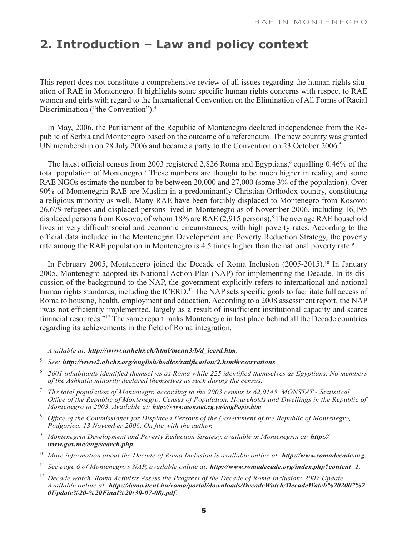## **2. Introduction – Law and policy context**

This report does not constitute a comprehensive review of all issues regarding the human rights situation of RAE in Montenegro. It highlights some specific human rights concerns with respect to RAE women and girls with regard to the International Convention on the Elimination of All Forms of Racial Discrimination ("the Convention").<sup>4</sup>

In May, 2006, the Parliament of the Republic of Montenegro declared independence from the Republic of Serbia and Montenegro based on the outcome of a referendum. The new country was granted UN membership on 28 July 2006 and became a party to the Convention on 23 October 2006.<sup>5</sup>

The latest official census from 2003 registered 2,826 Roma and Egyptians,<sup>6</sup> equalling 0.46% of the total population of Montenegro.<sup>7</sup> These numbers are thought to be much higher in reality, and some RAE NGOs estimate the number to be between 20,000 and 27,000 (some 3% of the population). Over 90% of Montenegrin RAE are Muslim in a predominantly Christian Orthodox country, constituting a religious minority as well. Many RAE have been forcibly displaced to Montenegro from Kosovo: 26,679 refugees and displaced persons lived in Montenegro as of November 2006, including 16,195 displaced persons from Kosovo, of whom 18% are RAE (2,915 persons).8 The average RAE household lives in very difficult social and economic circumstances, with high poverty rates. According to the official data included in the Montenegrin Development and Poverty Reduction Strategy, the poverty rate among the RAE population in Montenegro is 4.5 times higher than the national poverty rate.<sup>9</sup>

In February 2005, Montenegro joined the Decade of Roma Inclusion (2005-2015).10 In January 2005, Montenegro adopted its National Action Plan (NAP) for implementing the Decade. In its discussion of the background to the NAP, the government explicitly refers to international and national human rights standards, including the ICERD.<sup>11</sup> The NAP sets specific goals to facilitate full access of Roma to housing, health, employment and education. According to a 2008 assessment report, the NAP "was not efficiently implemented, largely as a result of insufficient institutional capacity and scarce financial resources."12 The same report ranks Montenegro in last place behind all the Decade countries regarding its achievements in the field of Roma integration.

- <sup>4</sup> *Available at: http://www.unhchr.ch/html/menu3/b/d\_icerd.htm.*
- <sup>5</sup> *See: http://www2.ohchr.org/english/bodies/ratification/2.htm#reservations.*
- <sup>6</sup> *2601 inhabitants identified themselves as Roma while 225 identified themselves as Egyptians. No members of the Ashkalia minority declared themselves as such during the census.*
- <sup>7</sup> *The total population of Montenegro according to the 2003 census is 62,0145. MONSTAT Statistical Office of the Republic of Montenegro. Census of Population, Households and Dwellings in the Republic of Montenegro in 2003. Available at: http://www.monstat.cg.yu/engPopis.htm.*
- <sup>8</sup> *Office of the Commissioner for Displaced Persons of the Government of the Republic of Montenegro, Podgorica, 13 November 2006. On file with the author.*
- <sup>9</sup> Montenegrin Development and Poverty Reduction Strategy. available in Montenegrin at: **http://** *www.gov.me/eng/search.php.*
- <sup>10</sup> More information about the Decade of Roma Inclusion is available online at: **http://www.romadecade.org**.
- <sup>11</sup> *See page 6 of Montenegro's NAP, available online at: http://www.romadecade.org/index.php?content=1.*
- <sup>12</sup> Decade Watch. Roma Activists Assess the Progress of the Decade of Roma Inclusion: 2007 Update. *Available online at: http://demo.itent.hu/roma/portal/downloads/DecadeWatch/DecadeWatch%202007%2 0Update%20-%20Final%20(30-07-08).pdf.*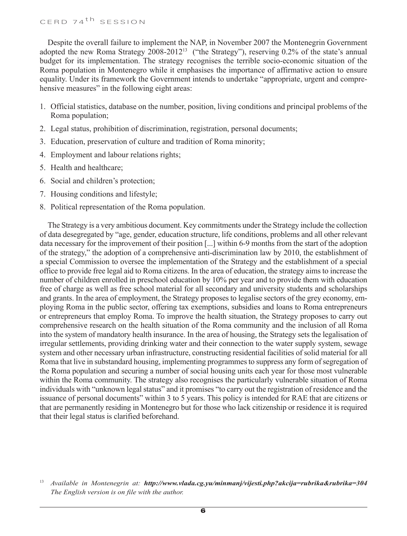Despite the overall failure to implement the NAP, in November 2007 the Montenegrin Government adopted the new Roma Strategy 2008-2012<sup>13</sup> ("the Strategy"), reserving 0.2% of the state's annual budget for its implementation. The strategy recognises the terrible socio-economic situation of the Roma population in Montenegro while it emphasises the importance of affirmative action to ensure equality. Under its framework the Government intends to undertake "appropriate, urgent and comprehensive measures" in the following eight areas:

- 1. Official statistics, database on the number, position, living conditions and principal problems of the Roma population;
- 2. Legal status, prohibition of discrimination, registration, personal documents;
- 3. Education, preservation of culture and tradition of Roma minority;
- 4. Employment and labour relations rights;
- 5. Health and healthcare;
- 6. Social and children's protection;
- 7. Housing conditions and lifestyle;
- 8. Political representation of the Roma population.

The Strategy is a very ambitious document. Key commitments under the Strategy include the collection of data desegregated by "age, gender, education structure, life conditions, problems and all other relevant data necessary for the improvement of their position [...] within 6-9 months from the start of the adoption of the strategy," the adoption of a comprehensive anti-discrimination law by 2010, the establishment of a special Commission to oversee the implementation of the Strategy and the establishment of a special office to provide free legal aid to Roma citizens. In the area of education, the strategy aims to increase the number of children enrolled in preschool education by 10% per year and to provide them with education free of charge as well as free school material for all secondary and university students and scholarships and grants. In the area of employment, the Strategy proposes to legalise sectors of the grey economy, employing Roma in the public sector, offering tax exemptions, subsidies and loans to Roma entrepreneurs or entrepreneurs that employ Roma. To improve the health situation, the Strategy proposes to carry out comprehensive research on the health situation of the Roma community and the inclusion of all Roma into the system of mandatory health insurance. In the area of housing, the Strategy sets the legalisation of irregular settlements, providing drinking water and their connection to the water supply system, sewage system and other necessary urban infrastructure, constructing residential facilities of solid material for all Roma that live in substandard housing, implementing programmes to suppress any form of segregation of the Roma population and securing a number of social housing units each year for those most vulnerable within the Roma community. The strategy also recognises the particularly vulnerable situation of Roma individuals with "unknown legal status" and it promises "to carry out the registration of residence and the issuance of personal documents" within 3 to 5 years. This policy is intended for RAE that are citizens or that are permanently residing in Montenegro but for those who lack citizenship or residence it is required that their legal status is clarified beforehand.

<sup>13</sup> *Available in Montenegrin at: http://www.vlada.cg.yu/minmanj/vijesti.php?akcija=rubrika&rubrika=304 The English version is on file with the author.*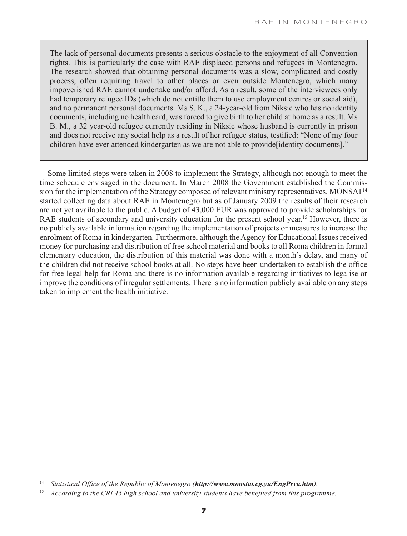The lack of personal documents presents a serious obstacle to the enjoyment of all Convention rights. This is particularly the case with RAE displaced persons and refugees in Montenegro. The research showed that obtaining personal documents was a slow, complicated and costly process, often requiring travel to other places or even outside Montenegro, which many impoverished RAE cannot undertake and/or afford. As a result, some of the interviewees only had temporary refugee IDs (which do not entitle them to use employment centres or social aid), and no permanent personal documents. Ms S. K., a 24-year-old from Niksic who has no identity documents, including no health card, was forced to give birth to her child at home as a result. Ms B. M., a 32 year-old refugee currently residing in Niksic whose husband is currently in prison and does not receive any social help as a result of her refugee status, testified: "None of my four children have ever attended kindergarten as we are not able to provide[identity documents]."

Some limited steps were taken in 2008 to implement the Strategy, although not enough to meet the time schedule envisaged in the document. In March 2008 the Government established the Commission for the implementation of the Strategy composed of relevant ministry representatives. MONSAT<sup>14</sup> started collecting data about RAE in Montenegro but as of January 2009 the results of their research are not yet available to the public. A budget of 43,000 EUR was approved to provide scholarships for RAE students of secondary and university education for the present school year.<sup>15</sup> However, there is no publicly available information regarding the implementation of projects or measures to increase the enrolment of Roma in kindergarten. Furthermore, although the Agency for Educational Issues received money for purchasing and distribution of free school material and books to all Roma children in formal elementary education, the distribution of this material was done with a month's delay, and many of the children did not receive school books at all. No steps have been undertaken to establish the office for free legal help for Roma and there is no information available regarding initiatives to legalise or improve the conditions of irregular settlements. There is no information publicly available on any steps taken to implement the health initiative.

<sup>14</sup> *Statistical Office of the Republic of Montenegro (http://www.monstat.cg.yu/EngPrva.htm).* 

<sup>15</sup> *According to the CRI 45 high school and university students have benefited from this programme.*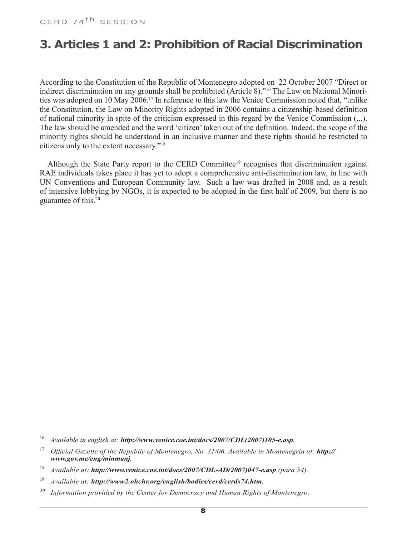## **3. Articles 1 and 2: Prohibition of Racial Discrimination**

According to the Constitution of the Republic of Montenegro adopted on 22 October 2007 "Direct or indirect discrimination on any grounds shall be prohibited (Article 8)."16 The Law on National Minorities was adopted on 10 May 2006.17 In reference to this law the Venice Commission noted that, "unlike the Constitution, the Law on Minority Rights adopted in 2006 contains a citizenship-based definition of national minority in spite of the criticism expressed in this regard by the Venice Commission (...). The law should be amended and the word 'citizen' taken out of the definition. Indeed, the scope of the minority rights should be understood in an inclusive manner and these rights should be restricted to citizens only to the extent necessary."18

Although the State Party report to the CERD Committee<sup>19</sup> recognises that discrimination against RAE individuals takes place it has yet to adopt a comprehensive anti-discrimination law, in line with UN Conventions and European Community law. Such a law was drafted in 2008 and, as a result of intensive lobbying by NGOs, it is expected to be adopted in the first half of 2009, but there is no guarantee of this.20

- 19 *Available at: http://www2.ohchr.org/english/bodies/cerd/cerds74.htm.*
- *20 Information provided by the Center for Democracy and Human Rights of Montenegro.*

<sup>16</sup> *Available in english at: http://www.venice.coe.int/docs/2007/CDL(2007)105-e.asp.*

<sup>&</sup>lt;sup>17</sup> *Official Gazette of the Republic of Montenegro, No. 31/06. Available in Montenegrin at: http:// www.gov.me/eng/minmanj.*

<sup>18</sup> *Available at: http://www.venice.coe.int/docs/2007/CDL-AD(2007)047-e.asp (para 54).*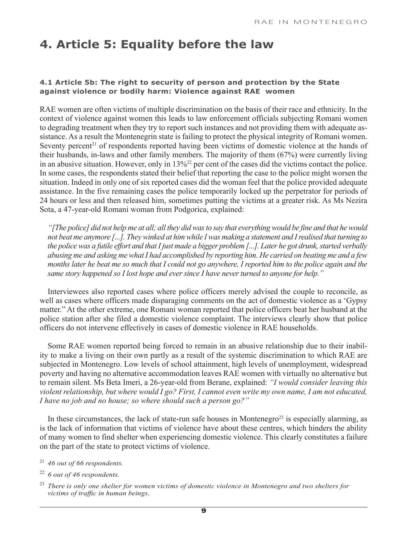# **4. Article 5: Equality before the law**

### **4.1 Article 5b: The right to security of person and protection by the State against violence or bodily harm: Violence against RAE women**

RAE women are often victims of multiple discrimination on the basis of their race and ethnicity. In the context of violence against women this leads to law enforcement officials subjecting Romani women to degrading treatment when they try to report such instances and not providing them with adequate assistance. As a result the Montenegrin state is failing to protect the physical integrity of Romani women. Seventy percent<sup>21</sup> of respondents reported having been victims of domestic violence at the hands of their husbands, in-laws and other family members. The majority of them (67%) were currently living in an abusive situation. However, only in 13%22 per cent of the cases did the victims contact the police. In some cases, the respondents stated their belief that reporting the case to the police might worsen the situation. Indeed in only one of six reported cases did the woman feel that the police provided adequate assistance. In the five remaining cases the police temporarily locked up the perpetrator for periods of 24 hours or less and then released him, sometimes putting the victims at a greater risk. As Ms Nezira Sota, a 47-year-old Romani woman from Podgorica, explained:

*"[The police] did not help me at all; all they did was to say that everything would be fine and that he would not beat me anymore [...]. They winked at him while I was making a statement and I realised that turning to the police was a futile effort and that I just made a bigger problem [...]. Later he got drunk, started verbally abusing me and asking me what I had accomplished by reporting him. He carried on beating me and a few months later he beat me so much that I could not go anywhere, I reported him to the police again and the same story happened so I lost hope and ever since I have never turned to anyone for help."* 

Interviewees also reported cases where police officers merely advised the couple to reconcile, as well as cases where officers made disparaging comments on the act of domestic violence as a 'Gypsy matter." At the other extreme, one Romani woman reported that police officers beat her husband at the police station after she filed a domestic violence complaint. The interviews clearly show that police officers do not intervene effectively in cases of domestic violence in RAE households.

Some RAE women reported being forced to remain in an abusive relationship due to their inability to make a living on their own partly as a result of the systemic discrimination to which RAE are subjected in Montenegro. Low levels of school attainment, high levels of unemployment, widespread poverty and having no alternative accommodation leaves RAE women with virtually no alternative but to remain silent. Ms Beta Imeri, a 26-year-old from Berane, explained: *"I would consider leaving this violent relationship, but where would I go? First, I cannot even write my own name, I am not educated, I have no job and no house; so where should such a person go?"* 

In these circumstances, the lack of state-run safe houses in Montenegro<sup>23</sup> is especially alarming, as is the lack of information that victims of violence have about these centres, which hinders the ability of many women to find shelter when experiencing domestic violence. This clearly constitutes a failure on the part of the state to protect victims of violence.

- <sup>21</sup> *46 out of 66 respondents.*
- <sup>22</sup> *6 out of 46 respondents.*

<sup>23</sup> *There is only one shelter for women victims of domestic violence in Montenegro and two shelters for victims of traffic in human beings*.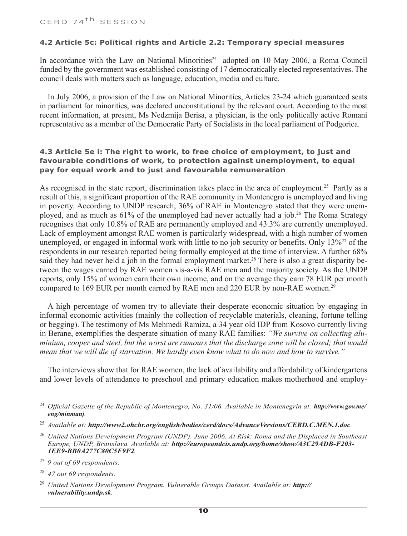#### **4.2 Article 5c: Political rights and Article 2.2: Temporary special measures**

In accordance with the Law on National Minorities<sup>24</sup> adopted on 10 May 2006, a Roma Council funded by the government was established consisting of 17 democratically elected representatives. The council deals with matters such as language, education, media and culture.

In July 2006, a provision of the Law on National Minorities, Articles 23-24 which guaranteed seats in parliament for minorities, was declared unconstitutional by the relevant court. According to the most recent information, at present, Ms Nedzmija Berisa, a physician, is the only politically active Romani representative as a member of the Democratic Party of Socialists in the local parliament of Podgorica.

### **4.3 Article 5e i: The right to work, to free choice of employment, to just and favourable conditions of work, to protection against unemployment, to equal pay for equal work and to just and favourable remuneration**

As recognised in the state report, discrimination takes place in the area of employment.<sup>25</sup> Partly as a result of this, a significant proportion of the RAE community in Montenegro is unemployed and living in poverty. According to UNDP research, 36% of RAE in Montenegro stated that they were unemployed, and as much as  $61\%$  of the unemployed had never actually had a job.<sup>26</sup> The Roma Strategy recognises that only 10.8% of RAE are permanently employed and 43.3% are currently unemployed. Lack of employment amongst RAE women is particularly widespread, with a high number of women unemployed, or engaged in informal work with little to no job security or benefits. Only 13%<sup>27</sup> of the respondents in our research reported being formally employed at the time of interview. A further 68% said they had never held a job in the formal employment market.<sup>28</sup> There is also a great disparity between the wages earned by RAE women vis-a-vis RAE men and the majority society. As the UNDP reports, only 15% of women earn their own income, and on the average they earn 78 EUR per month compared to 169 EUR per month earned by RAE men and 220 EUR by non-RAE women.<sup>29</sup>

A high percentage of women try to alleviate their desperate economic situation by engaging in informal economic activities (mainly the collection of recyclable materials, cleaning, fortune telling or begging). The testimony of Ms Mehmedi Ramiza, a 34 year old IDP from Kosovo currently living in Berane, exemplifies the desperate situation of many RAE families: *"We survive on collecting aluminium, cooper and steel, but the worst are rumours that the discharge zone will be closed; that would mean that we will die of starvation. We hardly even know what to do now and how to survive."*

The interviews show that for RAE women, the lack of availability and affordability of kindergartens and lower levels of attendance to preschool and primary education makes motherhood and employ-

- <sup>24</sup> Official Gazette of the Republic of Montenegro, No. 31/06. Available in Montenegrin at: **http://www.gov.me/** *eng/minmanj.*
- <sup>25</sup> *Available at: http://www2.ohchr.org/english/bodies/cerd/docs/AdvanceVersions/CERD.C.MEN.1.doc.*
- <sup>26</sup> *United Nations Development Program (UNDP). June 2006. At Risk: Roma and the Displaced in Southeast Europe, UNDP, Bratislava. Available at: http://europeandcis.undp.org/home/show/A3C29ADB-F203- 1EE9-BB0A277C80C5F9F2.*
- <sup>27</sup> *9 out of 69 respondents.*
- <sup>28</sup> *47 out 69 respondents.*
- <sup>29</sup> *United Nations Development Program. Vulnerable Groups Dataset. Available at: http:// vulnerability.undp.sk.*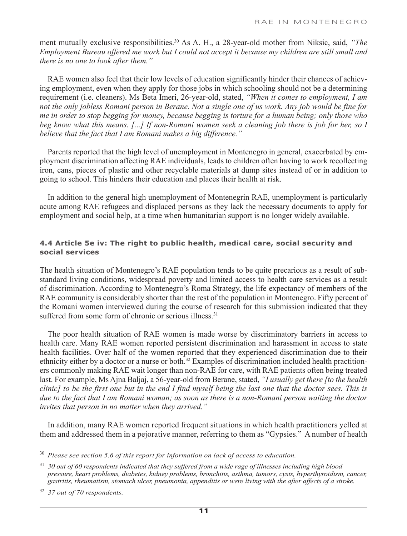ment mutually exclusive responsibilities.<sup>30</sup> As A. H., a 28-year-old mother from Niksic, said, *"The Employment Bureau offered me work but I could not accept it because my children are still small and there is no one to look after them."* 

RAE women also feel that their low levels of education significantly hinder their chances of achieving employment, even when they apply for those jobs in which schooling should not be a determining requirement (i.e. cleaners). Ms Beta Imeri, 26-year-old, stated, *"When it comes to employment, I am not the only jobless Romani person in Berane. Not a single one of us work. Any job would be fine for me in order to stop begging for money, because begging is torture for a human being; only those who beg know what this means. [...] If non-Romani women seek a cleaning job there is job for her, so I believe that the fact that I am Romani makes a big difference."*

Parents reported that the high level of unemployment in Montenegro in general, exacerbated by employment discrimination affecting RAE individuals, leads to children often having to work recollecting iron, cans, pieces of plastic and other recyclable materials at dump sites instead of or in addition to going to school. This hinders their education and places their health at risk.

In addition to the general high unemployment of Montenegrin RAE, unemployment is particularly acute among RAE refugees and displaced persons as they lack the necessary documents to apply for employment and social help, at a time when humanitarian support is no longer widely available.

### **4.4 Article 5e iv: The right to public health, medical care, social security and social services**

The health situation of Montenegro's RAE population tends to be quite precarious as a result of substandard living conditions, widespread poverty and limited access to health care services as a result of discrimination. According to Montenegro's Roma Strategy, the life expectancy of members of the RAE community is considerably shorter than the rest of the population in Montenegro. Fifty percent of the Romani women interviewed during the course of research for this submission indicated that they suffered from some form of chronic or serious illness.<sup>31</sup>

The poor health situation of RAE women is made worse by discriminatory barriers in access to health care. Many RAE women reported persistent discrimination and harassment in access to state health facilities. Over half of the women reported that they experienced discrimination due to their ethnicity either by a doctor or a nurse or both.<sup>32</sup> Examples of discrimination included health practitioners commonly making RAE wait longer than non-RAE for care, with RAE patients often being treated last. For example, Ms Ajna Baljaj, a 56-year-old from Berane, stated, *"I usually get there [to the health clinic] to be the first one but in the end I find myself being the last one that the doctor sees. This is due to the fact that I am Romani woman; as soon as there is a non-Romani person waiting the doctor invites that person in no matter when they arrived."*

In addition, many RAE women reported frequent situations in which health practitioners yelled at them and addressed them in a pejorative manner, referring to them as "Gypsies." A number of health

<sup>31</sup> *30 out of 60 respondents indicated that they suffered from a wide rage of illnesses including high blood pressure, heart problems, diabetes, kidney problems, bronchitis, asthma, tumors, cysts, hyperthyroidism, cancer, gastritis, rheumatism, stomach ulcer, pneumonia, appenditis or were living with the after affects of a stroke.* 

<sup>32</sup> *37 out of 70 respondents.*

<sup>30</sup> *Please see section 5.6 of this report for information on lack of access to education.*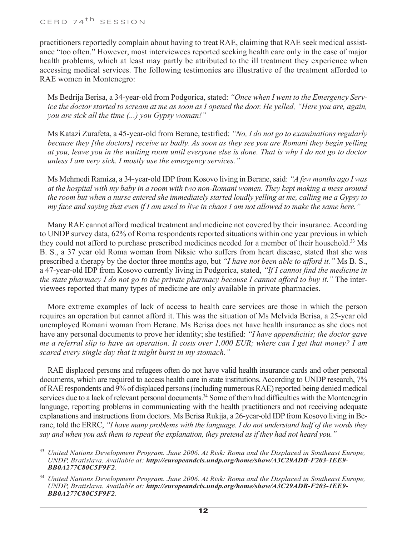practitioners reportedly complain about having to treat RAE, claiming that RAE seek medical assistance "too often." However, most interviewees reported seeking health care only in the case of major health problems, which at least may partly be attributed to the ill treatment they experience when accessing medical services. The following testimonies are illustrative of the treatment afforded to RAE women in Montenegro:

Ms Bedrija Berisa, a 34-year-old from Podgorica, stated: *"Once when I went to the Emergency Service the doctor started to scream at me as soon as I opened the door. He yelled, "Here you are, again, you are sick all the time (...) you Gypsy woman!"*

Ms Katazi Zurafeta, a 45-year-old from Berane, testified: *"No, I do not go to examinations regularly because they [the doctors] receive us badly. As soon as they see you are Romani they begin yelling at you, leave you in the waiting room until everyone else is done. That is why I do not go to doctor unless I am very sick. I mostly use the emergency services."* 

Ms Mehmedi Ramiza, a 34-year-old IDP from Kosovo living in Berane, said: *"A few months ago I was at the hospital with my baby in a room with two non-Romani women. They kept making a mess around the room but when a nurse entered she immediately started loudly yelling at me, calling me a Gypsy to my face and saying that even if I am used to live in chaos I am not allowed to make the same here."*

Many RAE cannot afford medical treatment and medicine not covered by their insurance. According to UNDP survey data, 62% of Roma respondents reported situations within one year previous in which they could not afford to purchase prescribed medicines needed for a member of their household.33 Ms B. S., a 37 year old Roma woman from Niksic who suffers from heart disease, stated that she was prescribed a therapy by the doctor three months ago, but *"I have not been able to afford it."* Ms B. S., a 47-year-old IDP from Kosovo currently living in Podgorica, stated, *"If I cannot find the medicine in the state pharmacy I do not go to the private pharmacy because I cannot afford to buy it."* The interviewees reported that many types of medicine are only available in private pharmacies.

More extreme examples of lack of access to health care services are those in which the person requires an operation but cannot afford it. This was the situation of Ms Melvida Berisa, a 25-year old unemployed Romani woman from Berane. Ms Berisa does not have health insurance as she does not have any personal documents to prove her identity; she testified: *"I have appendicitis; the doctor gave me a referral slip to have an operation. It costs over 1,000 EUR; where can I get that money? I am scared every single day that it might burst in my stomach."*

RAE displaced persons and refugees often do not have valid health insurance cards and other personal documents, which are required to access health care in state institutions. According to UNDP research, 7% of RAE respondents and 9% of displaced persons (including numerous RAE) reported being denied medical services due to a lack of relevant personal documents.<sup>34</sup> Some of them had difficulties with the Montenegrin language, reporting problems in communicating with the health practitioners and not receiving adequate explanations and instructions from doctors. Ms Berisa Rukija, a 26-year-old IDP from Kosovo living in Berane, told the ERRC, *"I have many problems with the language. I do not understand half of the words they say and when you ask them to repeat the explanation, they pretend as if they had not heard you."*

<sup>33</sup> *United Nations Development Program. June 2006. At Risk: Roma and the Displaced in Southeast Europe, UNDP, Bratislava. Available at: http://europeandcis.undp.org/home/show/A3C29ADB-F203-1EE9- BB0A277C80C5F9F2.*

<sup>34</sup> *United Nations Development Program. June 2006. At Risk: Roma and the Displaced in Southeast Europe, UNDP, Bratislava. Available at: http://europeandcis.undp.org/home/show/A3C29ADB-F203-1EE9- BB0A277C80C5F9F2.*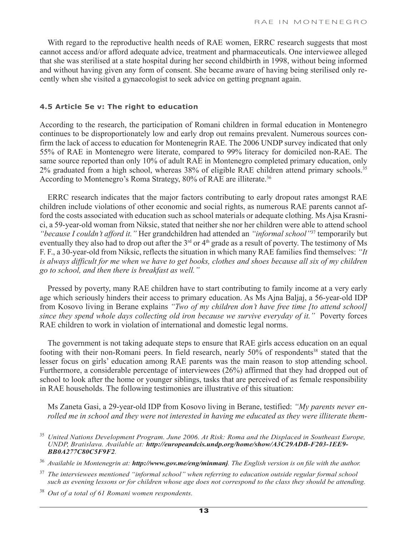With regard to the reproductive health needs of RAE women, ERRC research suggests that most cannot access and/or afford adequate advice, treatment and pharmaceuticals. One interviewee alleged that she was sterilised at a state hospital during her second childbirth in 1998, without being informed and without having given any form of consent. She became aware of having being sterilised only recently when she visited a gynaecologist to seek advice on getting pregnant again.

#### **4.5 Article 5e v: The right to education**

According to the research, the participation of Romani children in formal education in Montenegro continues to be disproportionately low and early drop out remains prevalent. Numerous sources confirm the lack of access to education for Montenegrin RAE. The 2006 UNDP survey indicated that only 55% of RAE in Montenegro were literate, compared to 99% literacy for domiciled non-RAE. The same source reported than only 10% of adult RAE in Montenegro completed primary education, only 2% graduated from a high school, whereas 38% of eligible RAE children attend primary schools.35 According to Montenegro's Roma Strategy, 80% of RAE are illiterate.<sup>36</sup>

ERRC research indicates that the major factors contributing to early dropout rates amongst RAE children include violations of other economic and social rights, as numerous RAE parents cannot afford the costs associated with education such as school materials or adequate clothing. Ms Ajsa Krasnici, a 59-year-old woman from Niksic, stated that neither she nor her children were able to attend school *"because I couldn't afford it."* Her grandchildren had attended an *"informal school"*37 temporarily but eventually they also had to drop out after the 3<sup>rd</sup> or 4<sup>th</sup> grade as a result of poverty. The testimony of Ms F. F., a 30-year-old from Niksic, reflects the situation in which many RAE families find themselves: *"It*  is always difficult for me when we have to get books, clothes and shoes because all six of my children *go to school, and then there is breakfast as well."*

Pressed by poverty, many RAE children have to start contributing to family income at a very early age which seriously hinders their access to primary education. As Ms Ajna Baljaj, a 56-year-old IDP from Kosovo living in Berane explains *"Two of my children don't have free time [to attend school] since they spend whole days collecting old iron because we survive everyday of it."* Poverty forces RAE children to work in violation of international and domestic legal norms.

The government is not taking adequate steps to ensure that RAE girls access education on an equal footing with their non-Romani peers. In field research, nearly 50% of respondents<sup>38</sup> stated that the lesser focus on girls' education among RAE parents was the main reason to stop attending school. Furthermore, a considerable percentage of interviewees (26%) affirmed that they had dropped out of school to look after the home or younger siblings, tasks that are perceived of as female responsibility in RAE households. The following testimonies are illustrative of this situation:

Ms Zaneta Gasi, a 29-year-old IDP from Kosovo living in Berane, testified: *"My parents never enrolled me in school and they were not interested in having me educated as they were illiterate them-*

<sup>35</sup> *United Nations Development Program. June 2006. At Risk: Roma and the Displaced in Southeast Europe, UNDP, Bratislava. Available at: http://europeandcis.undp.org/home/show/A3C29ADB-F203-1EE9- BB0A277C80C5F9F2.*

<sup>36</sup> *Available in Montenegrin at: http://www.gov.me/eng/minmanj. The English version is on file with the author.*

<sup>37</sup> *The interviewees mentioned "informal school" when referring to education outside regular formal school such as evening lessons or for children whose age does not correspond to the class they should be attending.*

<sup>38</sup> *Out of a total of 61 Romani women respondents.*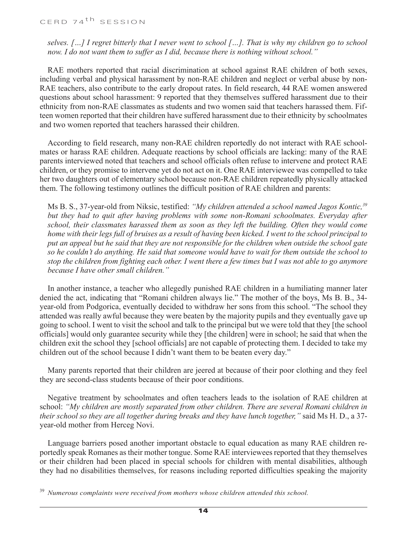*selves. […] I regret bitterly that I never went to school […]. That is why my children go to school now. I do not want them to suffer as I did, because there is nothing without school."*

RAE mothers reported that racial discrimination at school against RAE children of both sexes, including verbal and physical harassment by non-RAE children and neglect or verbal abuse by non-RAE teachers, also contribute to the early dropout rates. In field research, 44 RAE women answered questions about school harassment: 9 reported that they themselves suffered harassment due to their ethnicity from non-RAE classmates as students and two women said that teachers harassed them. Fifteen women reported that their children have suffered harassment due to their ethnicity by schoolmates and two women reported that teachers harassed their children.

According to field research, many non-RAE children reportedly do not interact with RAE schoolmates or harass RAE children. Adequate reactions by school officials are lacking: many of the RAE parents interviewed noted that teachers and school officials often refuse to intervene and protect RAE children, or they promise to intervene yet do not act on it. One RAE interviewee was compelled to take her two daughters out of elementary school because non-RAE children repeatedly physically attacked them. The following testimony outlines the difficult position of RAE children and parents:

Ms B. S., 37-year-old from Niksic, testified: *"My children attended a school named Jagos Kontic,39 but they had to quit after having problems with some non-Romani schoolmates. Everyday after school, their classmates harassed them as soon as they left the building. Often they would come home with their legs full of bruises as a result of having been kicked. I went to the school principal to put an appeal but he said that they are not responsible for the children when outside the school gate so he couldn't do anything. He said that someone would have to wait for them outside the school to stop the children from fighting each other. I went there a few times but I was not able to go anymore because I have other small children."* 

In another instance, a teacher who allegedly punished RAE children in a humiliating manner later denied the act, indicating that "Romani children always lie." The mother of the boys, Ms B. B., 34 year-old from Podgorica, eventually decided to withdraw her sons from this school. "The school they attended was really awful because they were beaten by the majority pupils and they eventually gave up going to school. I went to visit the school and talk to the principal but we were told that they [the school officials] would only guarantee security while they [the children] were in school; he said that when the children exit the school they [school officials] are not capable of protecting them. I decided to take my children out of the school because I didn't want them to be beaten every day."

Many parents reported that their children are jeered at because of their poor clothing and they feel they are second-class students because of their poor conditions.

Negative treatment by schoolmates and often teachers leads to the isolation of RAE children at school: *"My children are mostly separated from other children. There are several Romani children in their school so they are all together during breaks and they have lunch together,"* said Ms H. D., a 37 year-old mother from Herceg Novi.

Language barriers posed another important obstacle to equal education as many RAE children reportedly speak Romanes as their mother tongue. Some RAE interviewees reported that they themselves or their children had been placed in special schools for children with mental disabilities, although they had no disabilities themselves, for reasons including reported difficulties speaking the majority

<sup>39</sup> *Numerous complaints were received from mothers whose children attended this school.*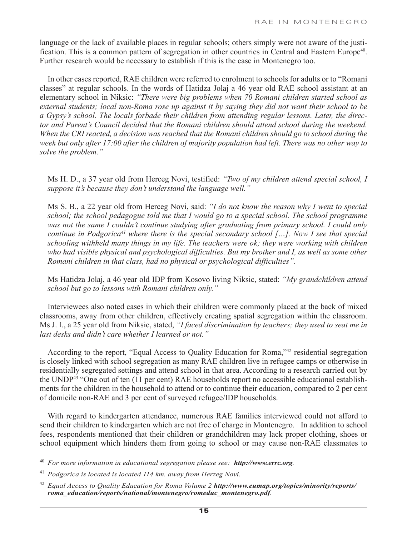language or the lack of available places in regular schools; others simply were not aware of the justification. This is a common pattern of segregation in other countries in Central and Eastern Europe<sup>40</sup>. Further research would be necessary to establish if this is the case in Montenegro too.

In other cases reported, RAE children were referred to enrolment to schools for adults or to "Romani classes" at regular schools. In the words of Hatidza Jolaj a 46 year old RAE school assistant at an elementary school in Niksic: *"There were big problems when 70 Romani children started school as external students; local non-Roma rose up against it by saying they did not want their school to be a Gypsy's school. The locals forbade their children from attending regular lessons. Later, the director and Parent's Council decided that the Romani children should attend school during the weekend. When the CRI reacted, a decision was reached that the Romani children should go to school during the week but only after 17:00 after the children of majority population had left. There was no other way to solve the problem."*

Ms H. D., a 37 year old from Herceg Novi, testified: *"Two of my children attend special school, I suppose it's because they don't understand the language well."*

Ms S. B., a 22 year old from Herceg Novi, said: *"I do not know the reason why I went to special school; the school pedagogue told me that I would go to a special school. The school programme was not the same I couldn't continue studying after graduating from primary school. I could only continue in Podgorica41 where there is the special secondary school […]. Now I see that special schooling withheld many things in my life. The teachers were ok; they were working with children who had visible physical and psychological difficulties. But my brother and I, as well as some other Romani children in that class, had no physical or psychological difficulties".*

Ms Hatidza Jolaj, a 46 year old IDP from Kosovo living Niksic, stated: *"My grandchildren attend school but go to lessons with Romani children only."*

Interviewees also noted cases in which their children were commonly placed at the back of mixed classrooms, away from other children, effectively creating spatial segregation within the classroom. Ms J. I., a 25 year old from Niksic, stated, *"I faced discrimination by teachers; they used to seat me in last desks and didn't care whether I learned or not."*

According to the report, "Equal Access to Quality Education for Roma,"42 residential segregation is closely linked with school segregation as many RAE children live in refugee camps or otherwise in residentially segregated settings and attend school in that area. According to a research carried out by the UNDP43 "One out of ten (11 per cent) RAE households report no accessible educational establishments for the children in the household to attend or to continue their education, compared to 2 per cent of domicile non-RAE and 3 per cent of surveyed refugee/IDP households.

With regard to kindergarten attendance, numerous RAE families interviewed could not afford to send their children to kindergarten which are not free of charge in Montenegro. In addition to school fees, respondents mentioned that their children or grandchildren may lack proper clothing, shoes or school equipment which hinders them from going to school or may cause non-RAE classmates to

<sup>40</sup> *For more information in educational segregation please see: http://www.errc.org.* 

<sup>41</sup> *Podgorica is located is located 114 km. away from Herzeg Novi.*

<sup>42</sup> *Equal Access to Quality Education for Roma Volume 2 http://www.eumap.org/topics/minority/reports/ roma\_education/reports/national/montenegro/romeduc\_montenegro.pdf.*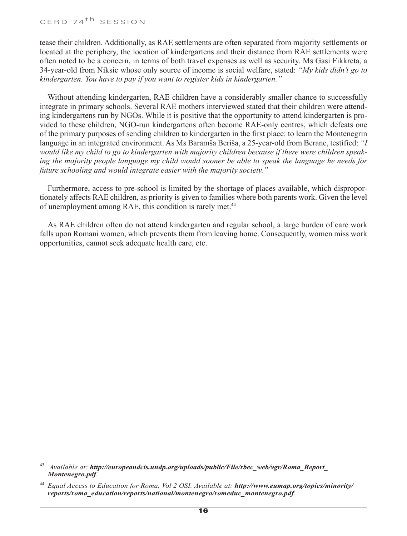tease their children. Additionally, as RAE settlements are often separated from majority settlements or located at the periphery, the location of kindergartens and their distance from RAE settlements were often noted to be a concern, in terms of both travel expenses as well as security. Ms Gasi Fikkreta, a 34-year-old from Niksic whose only source of income is social welfare, stated: *"My kids didn't go to kindergarten. You have to pay if you want to register kids in kindergarten."* 

Without attending kindergarten, RAE children have a considerably smaller chance to successfully integrate in primary schools. Several RAE mothers interviewed stated that their children were attending kindergartens run by NGOs. While it is positive that the opportunity to attend kindergarten is provided to these children, NGO-run kindergartens often become RAE-only centres, which defeats one of the primary purposes of sending children to kindergarten in the first place: to learn the Montenegrin language in an integrated environment. As Ms Baramša Beriša, a 25-year-old from Berane, testified: *"I would like my child to go to kindergarten with majority children because if there were children speaking the majority people language my child would sooner be able to speak the language he needs for future schooling and would integrate easier with the majority society."*

Furthermore, access to pre-school is limited by the shortage of places available, which disproportionately affects RAE children, as priority is given to families where both parents work. Given the level of unemployment among RAE, this condition is rarely met.<sup>44</sup>

As RAE children often do not attend kindergarten and regular school, a large burden of care work falls upon Romani women, which prevents them from leaving home. Consequently, women miss work opportunities, cannot seek adequate health care, etc.

<sup>43</sup> *Available at: http://europeandcis.undp.org/uploads/public/File/rbec\_web/vgr/Roma\_Report\_ Montenegro.pdf.*

<sup>44</sup> *Equal Access to Education for Roma, Vol 2 OSI. Available at: http://www.eumap.org/topics/minority/ reports/roma\_education/reports/national/montenegro/romeduc\_montenegro.pdf.*